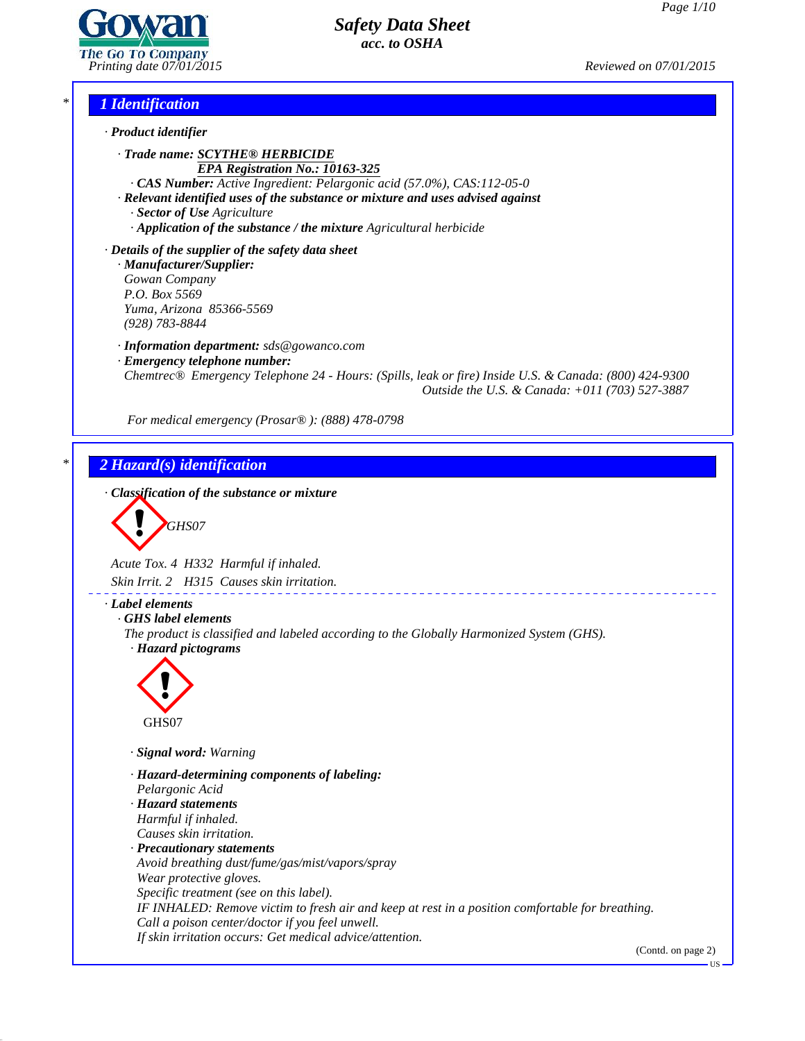

*Printing date 07/01/2015 Reviewed on 07/01/2015*

### *\* 1 Identification*

- *· Product identifier*
	- *· Trade name: SCYTHE® HERBICIDE EPA Registration No.: 10163-325*
		- *· CAS Number: Active Ingredient: Pelargonic acid (57.0%), CAS:112-05-0*
	- *· Relevant identified uses of the substance or mixture and uses advised against · Sector of Use Agriculture*
		- *· Application of the substance / the mixture Agricultural herbicide*
- *· Details of the supplier of the safety data sheet · Manufacturer/Supplier:*
	- *Gowan Company P.O. Box 5569 Yuma, Arizona 85366-5569 (928) 783-8844*
	- *· Information department: sds@gowanco.com*
	- *· Emergency telephone number:*

*Chemtrec® Emergency Telephone 24 - Hours: (Spills, leak or fire) Inside U.S. & Canada: (800) 424-9300 Outside the U.S. & Canada: +011 (703) 527-3887*

*For medical emergency (Prosar® ): (888) 478-0798*

### *\* 2 Hazard(s) identification*

*· Classification of the substance or mixture*

$$
\bigotimes_{\text{GHSO7}}
$$

*Acute Tox. 4 H332 Harmful if inhaled.*

*Skin Irrit. 2 H315 Causes skin irritation.*

*· Label elements*

*· GHS label elements*

*The product is classified and labeled according to the Globally Harmonized System (GHS). · Hazard pictograms*



- *· Signal word: Warning*
- *· Hazard-determining components of labeling:*
- *Pelargonic Acid*

41.0

- *· Hazard statements*
- *Harmful if inhaled.*
- *Causes skin irritation.*
- *· Precautionary statements Avoid breathing dust/fume/gas/mist/vapors/spray Wear protective gloves. Specific treatment (see on this label). IF INHALED: Remove victim to fresh air and keep at rest in a position comfortable for breathing. Call a poison center/doctor ifyou feel unwell. If skin irritation occurs: Get medical advice/attention.*

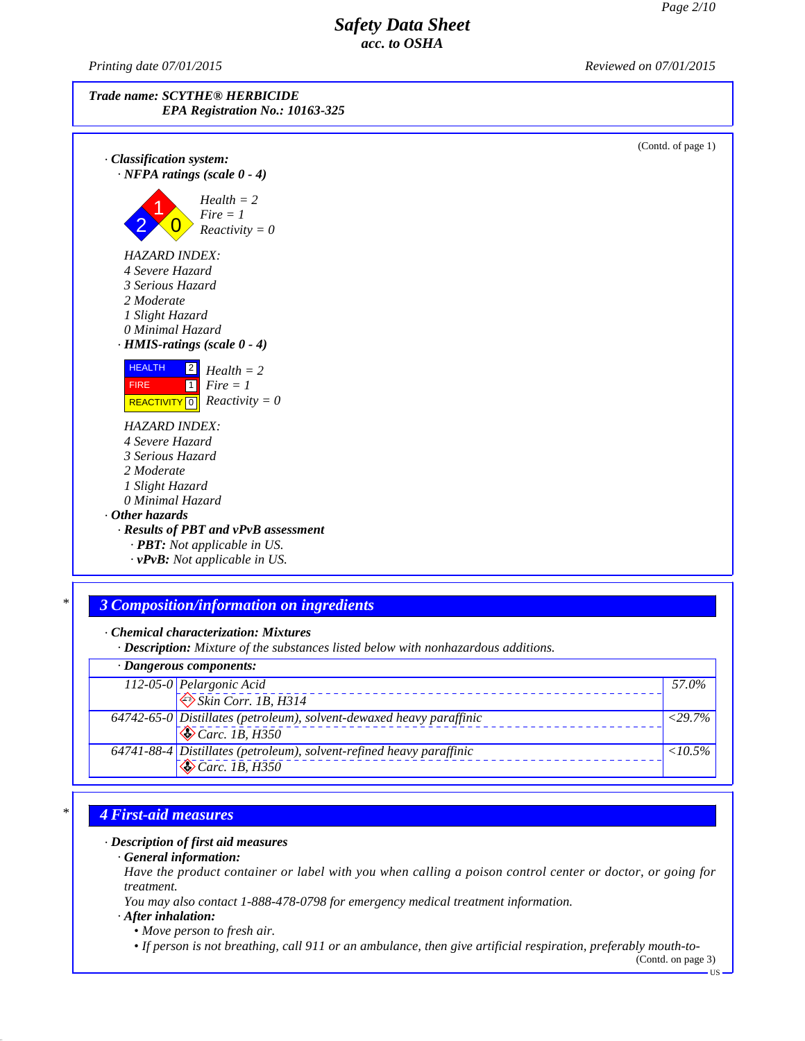*Printing date 07/01/2015 Reviewed on 07/01/2015*



 $(C_{\text{optd}} \circ f_{\text{mean}})$ 

| · Classification system:<br>$\cdot$ NFPA ratings (scale 0 - 4)                                                                                         | (Comu. or page $1$ ) |
|--------------------------------------------------------------------------------------------------------------------------------------------------------|----------------------|
| $Health = 2$<br>$Fire = 1$<br>$Reactivity = 0$                                                                                                         |                      |
| <b>HAZARD INDEX:</b><br>4 Severe Hazard<br>3 Serious Hazard<br>2 Moderate<br>1 Slight Hazard<br>0 Minimal Hazard<br>$\cdot$ HMIS-ratings (scale 0 - 4) |                      |
| <b>HEALTH</b><br>$\boxed{2}$<br>$Health = 2$<br>$Fire = 1$<br><b>FIRE</b><br>$\vert$ 1<br>$Reactivity = 0$<br>REACTIVITY <sup>0</sup>                  |                      |
| <b>HAZARD INDEX:</b><br>4 Severe Hazard                                                                                                                |                      |
| 3 Serious Hazard                                                                                                                                       |                      |
| 2 Moderate                                                                                                                                             |                      |
| 1 Slight Hazard                                                                                                                                        |                      |
| 0 Minimal Hazard                                                                                                                                       |                      |
| $\cdot$ Other hazards                                                                                                                                  |                      |
| · Results of PBT and vPvB assessment                                                                                                                   |                      |
| · PBT: Not applicable in US.                                                                                                                           |                      |
| $\cdot$ vPvB: Not applicable in US.                                                                                                                    |                      |

### *\* 3 Composition/information on ingredients*

*· Chemical characterization: Mixtures*

*· Description: Mixture of the substances listed below with nonhazardous additions.*

| $\cdot$ Dangerous components: |                                                                      |                  |
|-------------------------------|----------------------------------------------------------------------|------------------|
|                               | 112-05-0 Pelargonic Acid                                             | 57.0%            |
|                               | $\otimes$ Skin Corr. 1B, H314                                        |                  |
|                               | 64742-65-0 Distillates (petroleum), solvent-dewaxed heavy paraffinic | $< 29.7\%$       |
|                               | $\sqrt{\&}$ Carc. 1B, H350                                           |                  |
|                               | 64741-88-4 Distillates (petroleum), solvent-refined heavy paraffinic | $\langle 10.5\%$ |
|                               | $\sqrt{\sigma}$ Carc. 1B, H350                                       |                  |

## *\* 4 First-aid measures*

### *· Description of first aid measures*

*· General information:*

Have the product container or label with you when calling a poison control center or doctor, or going for *treatment.*

*You may also contact 1-888-478-0798 for emergency medical treatment information.*

### *· After inhalation:*

41.0

*• Move person to fresh air.*

• If person is not breathing, call 911 or an ambulance, then give artificial respiration, preferably mouth-to-

(Contd. on page 3) $\overline{\text{US}}$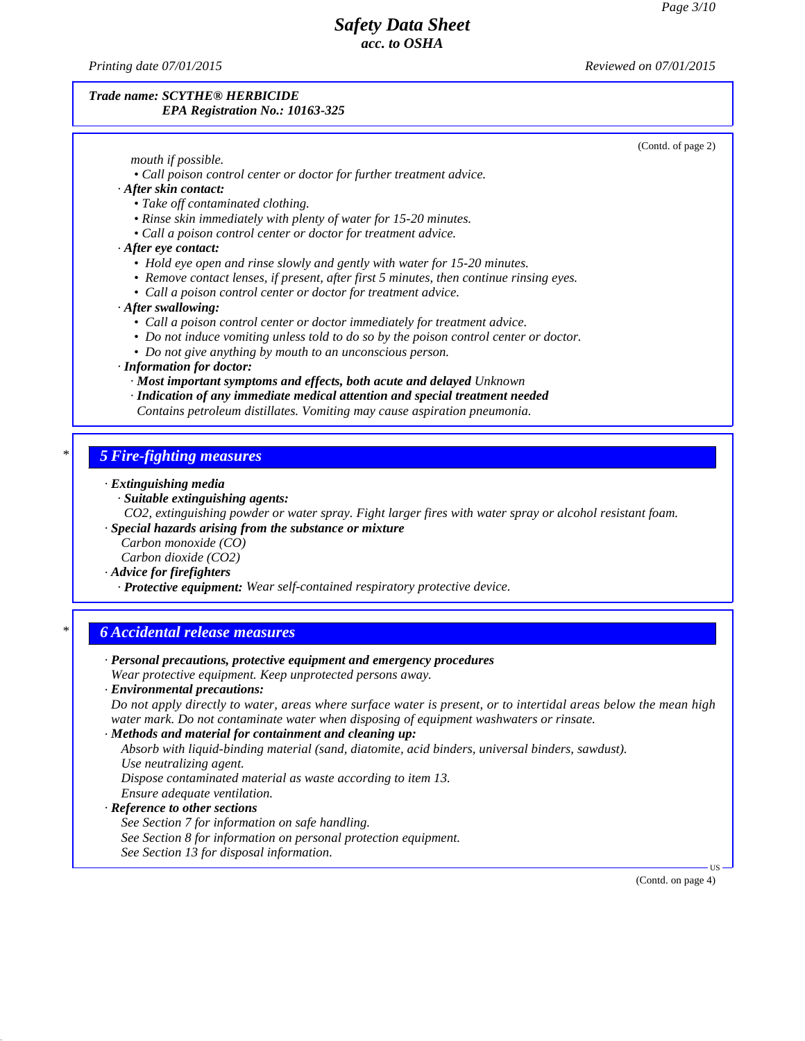*Printing date 07/01/2015 Reviewed on 07/01/2015*

41.0

### *Trade name: SCYTHE® HERBICIDE EPA Registration No.: 10163-325*

|                                                                 | (Contd. of page 2)                                                                                               |
|-----------------------------------------------------------------|------------------------------------------------------------------------------------------------------------------|
| mouth if possible.                                              |                                                                                                                  |
|                                                                 | • Call poison control center or doctor for further treatment advice.                                             |
| · After skin contact:                                           |                                                                                                                  |
| • Take off contaminated clothing.                               | • Rinse skin immediately with plenty of water for 15-20 minutes.                                                 |
|                                                                 | • Call a poison control center or doctor for treatment advice.                                                   |
| $\cdot$ After eye contact:                                      |                                                                                                                  |
|                                                                 | • Hold eye open and rinse slowly and gently with water for 15-20 minutes.                                        |
|                                                                 | • Remove contact lenses, if present, after first 5 minutes, then continue rinsing eyes.                          |
|                                                                 | • Call a poison control center or doctor for treatment advice.                                                   |
| · After swallowing:                                             |                                                                                                                  |
|                                                                 | • Call a poison control center or doctor immediately for treatment advice.                                       |
|                                                                 | • Do not induce vomiting unless told to do so by the poison control center or doctor.                            |
| • Do not give anything by mouth to an unconscious person.       |                                                                                                                  |
| · Information for doctor:                                       |                                                                                                                  |
|                                                                 | · Most important symptoms and effects, both acute and delayed Unknown                                            |
|                                                                 | · Indication of any immediate medical attention and special treatment needed                                     |
|                                                                 | Contains petroleum distillates. Vomiting may cause aspiration pneumonia.                                         |
|                                                                 |                                                                                                                  |
| <b>5 Fire-fighting measures</b>                                 |                                                                                                                  |
| · Extinguishing media                                           |                                                                                                                  |
| · Suitable extinguishing agents:                                |                                                                                                                  |
|                                                                 | CO2, extinguishing powder or water spray. Fight larger fires with water spray or alcohol resistant foam.         |
| · Special hazards arising from the substance or mixture         |                                                                                                                  |
| Carbon monoxide (CO)                                            |                                                                                                                  |
| Carbon dioxide (CO2)                                            |                                                                                                                  |
| · Advice for firefighters                                       | · Protective equipment: Wear self-contained respiratory protective device.                                       |
|                                                                 |                                                                                                                  |
| <b>6 Accidental release measures</b>                            |                                                                                                                  |
|                                                                 | · Personal precautions, protective equipment and emergency procedures                                            |
| Wear protective equipment. Keep unprotected persons away.       |                                                                                                                  |
| · Environmental precautions:                                    |                                                                                                                  |
|                                                                 | Do not apply directly to water, areas where surface water is present, or to intertidal areas below the mean high |
|                                                                 | water mark. Do not contaminate water when disposing of equipment washwaters or rinsate.                          |
| · Methods and material for containment and cleaning up:         |                                                                                                                  |
|                                                                 | Absorb with liquid-binding material (sand, diatomite, acid binders, universal binders, sawdust).                 |
| Use neutralizing agent.                                         |                                                                                                                  |
| Dispose contaminated material as waste according to item 13.    |                                                                                                                  |
| Ensure adequate ventilation.                                    |                                                                                                                  |
| · Reference to other sections                                   |                                                                                                                  |
| See Section 7 for information on safe handling.                 |                                                                                                                  |
| See Section 8 for information on personal protection equipment. |                                                                                                                  |
| See Section 13 for disposal information.                        |                                                                                                                  |
|                                                                 | (Contd. on page 4)                                                                                               |
|                                                                 |                                                                                                                  |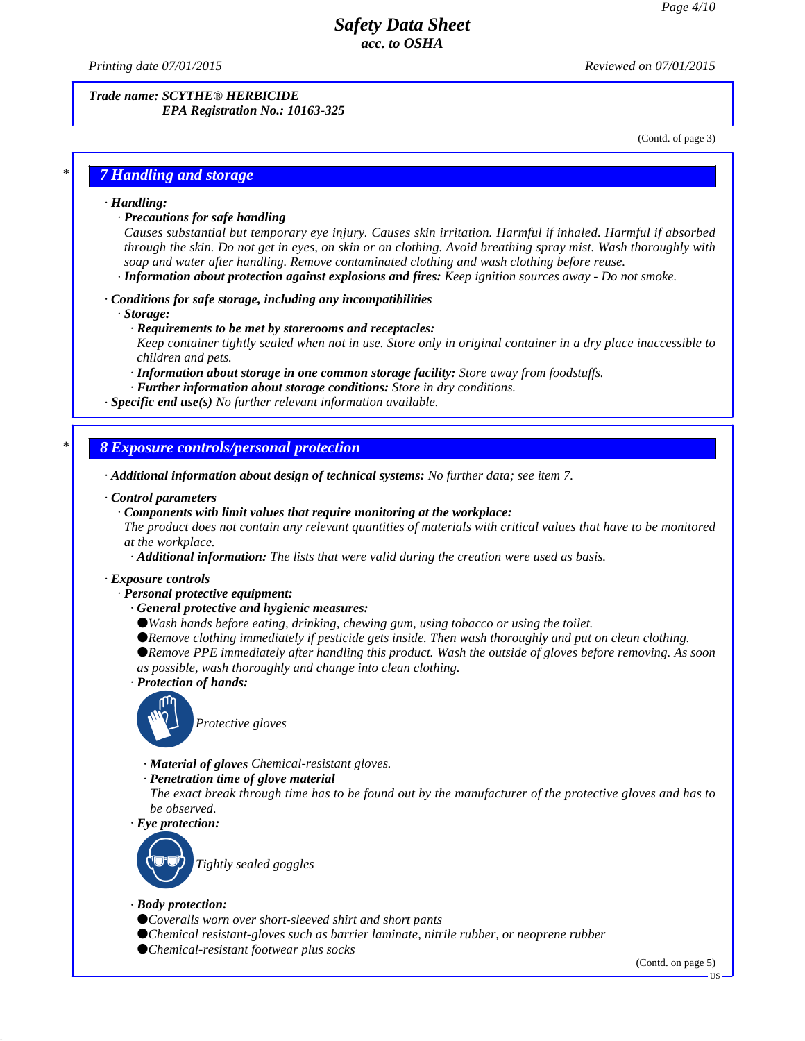*Printing date 07/01/2015 Reviewed on 07/01/2015*

*Trade name: SCYTHE® HERBICIDE EPA Registration No.: 10163-325*

(Contd. of page 3)

### *\* 7 Handling and storage*

#### *· Handling:*

*· Precautions for safe handling*

*Causes substantial but temporary eye injury. Causes skin irritation. Harmful if inhaled. Harmful if absorbed* through the skin. Do not get in eyes, on skin or on clothing. Avoid breathing spray mist. Wash thoroughly with *soap and water after handling. Remove contaminated clothing and wash clothing before reuse.*

*· Information about protection against explosions and fires: Keep ignition sources away - Do not smoke.*

#### *· Conditions for safe storage, including any incompatibilities*

*· Storage:*

*· Requirements to be met by storerooms and receptacles:*

Keep container tightly sealed when not in use. Store only in original container in a dry place inaccessible to *children and pets.*

*· Information about storage in one common storage facility: Store away from foodstuf s.*

*· Further information about storage conditions: Store in dry conditions.*

*· Specific end use(s) No further relevant information available.*

#### *\* 8 Exposure controls/personal protection*

*· Additional information about design of technical systems: No further data; see item 7.*

#### *· Control parameters*

*· Components with limit values that require monitoring at the workplace:*

The product does not contain any relevant quantities of materials with critical values that have to be monitored *at the workplace.*

*· Additional information: The lists that were valid during the creation were used as basis.*

#### *· Exposure controls*

*· Personal protective equipment:*

*· General protective and hygienic measures:*

*Wash hands before eating, drinking, chewing gum, using tobacco or using the toilet.*

*Remove clothing immediately if pesticide gets inside. Then wash thoroughly and put on clean clothing.*

*Remove PPE immediately after handling this product. Wash the outside of gloves before removing. As soon as possible, wash thoroughly and change into clean clothing.*

*· Protection of hands:*



*Protective gloves*

- *· Material of gloves Chemical-resistant gloves.*
- *· Penetration time of glove material*

The exact break through time has to be found out by the manufacturer of the protective gloves and has to *be observed.*

*· Eye protection:*



*· Body protection:*

41.0

*Coveralls worn over short-sleeved shirt and short pants Chemical resistant-gloves such as barrier laminate, nitrile rubber, or neoprene rubber Chemical-resistant footwear plus socks*

(Contd. on page 5)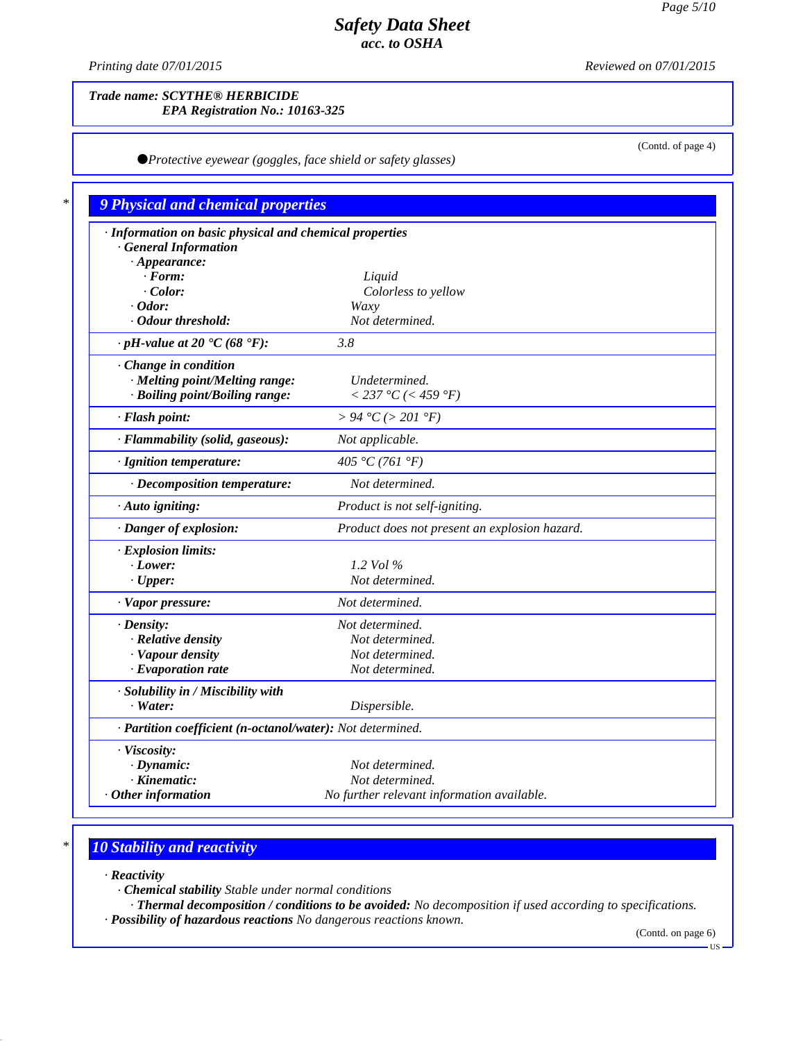*Printing date 07/01/2015 Reviewed on 07/01/2015*

### *Trade name: SCYTHE® HERBICIDE EPA Registration No.: 10163-325*

*Protective eyewear (goggles, face shield or safety glasses)*

(Contd. of page 4)

| · Information on basic physical and chemical properties    |                                               |
|------------------------------------------------------------|-----------------------------------------------|
| <b>General Information</b>                                 |                                               |
| $\cdot$ Appearance:                                        |                                               |
| $\cdot$ Form:                                              | Liquid                                        |
| $\cdot$ Color:<br>$\cdot$ Odor:                            | Colorless to yellow<br>Waxy                   |
| · Odour threshold:                                         | Not determined.                               |
| $\cdot$ pH-value at 20 $\text{°C}$ (68 $\text{°F}$ ):      | 3.8                                           |
| Change in condition                                        |                                               |
| · Melting point/Melting range:                             | Undetermined.                                 |
| · Boiling point/Boiling range:                             | $< 237 °C$ (< 459 °F)                         |
| · Flash point:                                             | > 94 °C (> 201 °F)                            |
| · Flammability (solid, gaseous):                           | Not applicable.                               |
| · Ignition temperature:                                    | 405 °C (761 °F)                               |
| · Decomposition temperature:                               | Not determined.                               |
| · Auto igniting:                                           | Product is not self-igniting.                 |
| · Danger of explosion:                                     | Product does not present an explosion hazard. |
| · Explosion limits:                                        |                                               |
| · Lower:                                                   | 1.2 Vol %                                     |
| $\cdot$ Upper:                                             | Not determined.                               |
| · Vapor pressure:                                          | Not determined.                               |
| $\cdot$ Density:                                           | Not determined.                               |
| · Relative density                                         | Not determined.                               |
| · Vapour density                                           | Not determined.                               |
| · Evaporation rate                                         | Not determined.                               |
| · Solubility in / Miscibility with                         |                                               |
| $Water$ :                                                  | Dispersible.                                  |
| · Partition coefficient (n-octanol/water): Not determined. |                                               |
| · Viscosity:                                               |                                               |
| $\cdot$ Dynamic:                                           | Not determined.                               |
| · Kinematic:                                               | Not determined.                               |

# *\* 10 Stability and reactivity*

*· Reactivity*

41.0

*· Chemical stability Stable under normal conditions*

*· Thermal decomposition / conditions to be avoided: No decomposition if used according to specifications.*

*· Possibility of hazardous reactions No dangerous reactions known.*

(Contd. on page 6)

US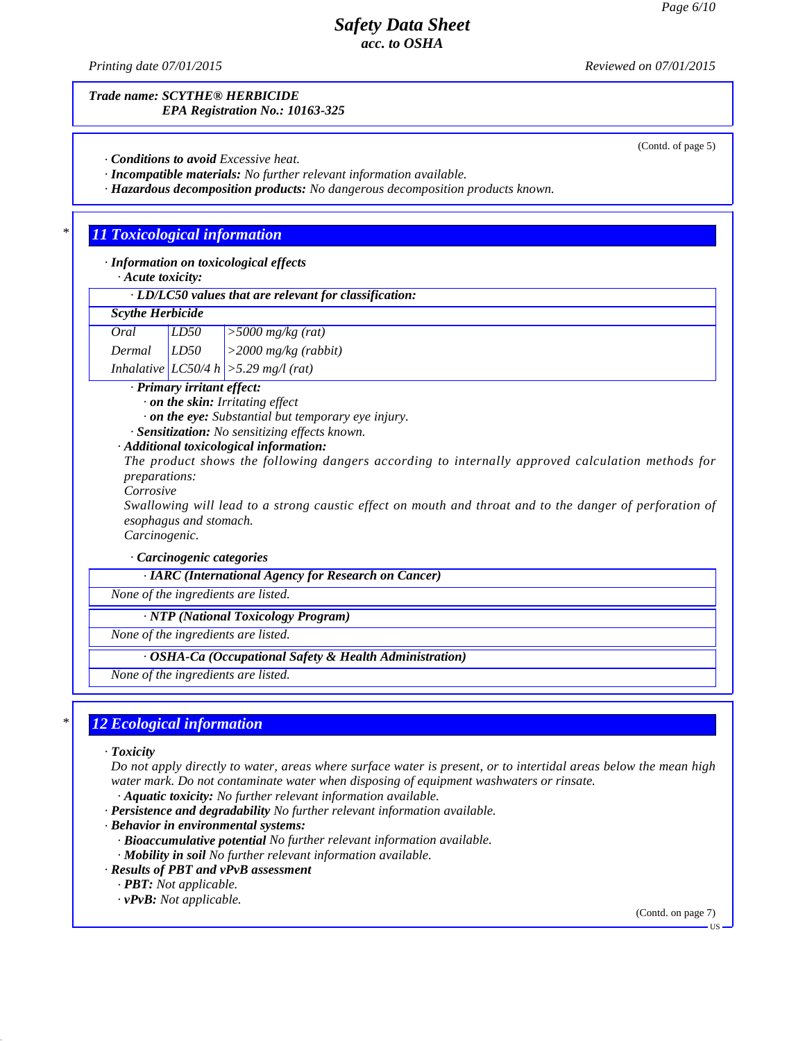(Contd. of page 5)

## *Safety Data Sheet acc. to OSHA*

*Printing date 07/01/2015 Reviewed on 07/01/2015*

*Trade name: SCYTHE® HERBICIDE EPA Registration No.: 10163-325*

*· Conditions to avoid Excessive heat.*

*· Incompatible materials: No further relevant information available.*

*· Hazardous decomposition products: No dangerous decomposition products known.*

### *\* 11 Toxicological information*

*· Information on toxicological effects*

*· Acute toxicity:*

*· LD/LC50 values that are relevant for classification:*

### *Scythe Herbicide*

*Oral LD50 >5000 mg/kg (rat) Dermal LD50 >2000 mg/kg (rabbit) Inhalative LC50/4 h >5.29 mg/l (rat)*

*· Primary irritant effect:*

*· on the skin: Irritating ef ect*

*· on the eye: Substantial but temporary eye injury.*

*· Sensitization: No sensitizing ef ects known.*

### *· Additional toxicological information:*

*The product shows the following dangers according to internally approved calculation methods for preparations:*

*Corrosive*

Swallowing will lead to a strong caustic effect on mouth and throat and to the danger of perforation of *esophagus and stomach.*

*Carcinogenic.*

*· Carcinogenic categories*

*· IARC (International Agency for Research on Cancer)*

*None of the ingredients are listed.*

*· NTP (National Toxicology Program)*

*None of the ingredients are listed.*

*· OSHA-Ca (Occupational Safety & Health Administration)*

*None of the ingredients are listed.*

## *\* 12 Ecological information*

### *· Toxicity*

41.0

Do not apply directly to water, areas where surface water is present, or to intertidal areas below the mean high *water mark. Do not contaminate water when disposing of equipment washwaters or rinsate.*

*· Aquatic toxicity: No further relevant information available.*

- *· Persistence and degradability No further relevant information available.*
- *· Behavior in environmental systems:*
	- *· Bioaccumulative potential No further relevant information available.*
	- *· Mobility in soil No further relevant information available.*
- *· Results of PBT and vPvB assessment*
	- *· PBT: Not applicable.*
	- *· vPvB: Not applicable.*

(Contd. on page 7)

US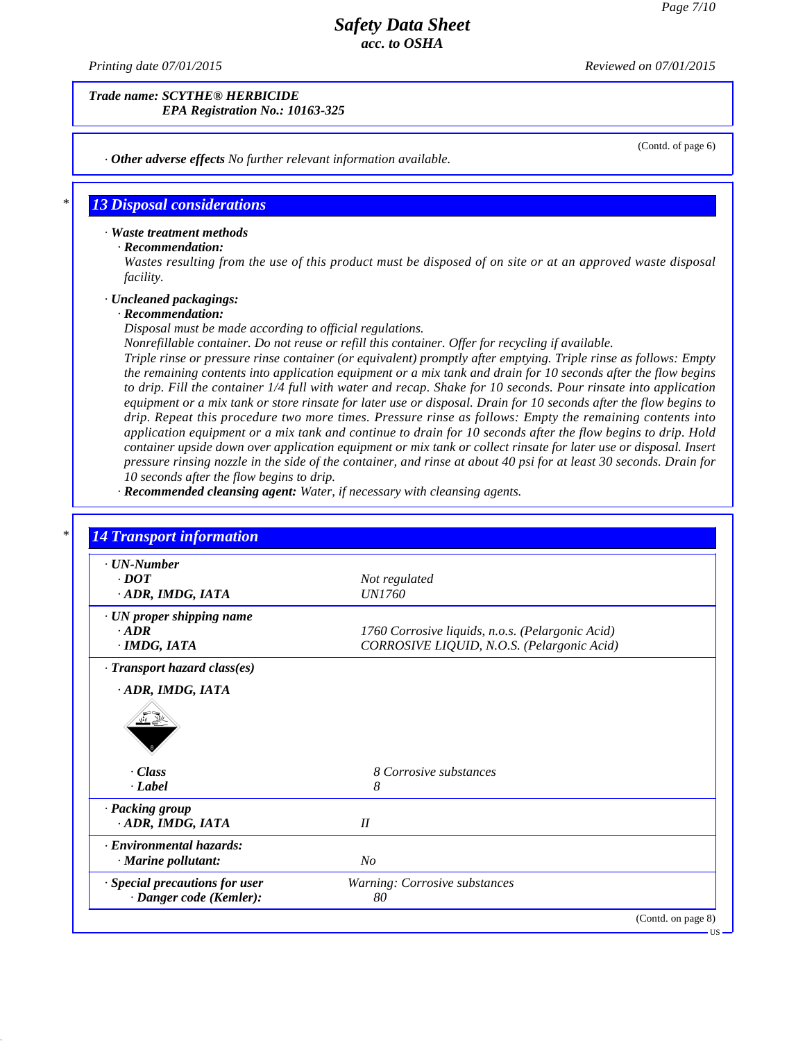*Printing date 07/01/2015 Reviewed on 07/01/2015*

*Trade name: SCYTHE® HERBICIDE EPA Registration No.: 10163-325*

(Contd. of page 6)

*· Other adverse effects No further relevant information available.*

### *\* 13 Disposal considerations*

#### *· Waste treatment methods*

### *· Recommendation:*

Wastes resulting from the use of this product must be disposed of on site or at an approved waste disposal *facility.*

#### *· Uncleaned packagings:*

#### *· Recommendation:*

41.0

*Disposal must be made according to of icial regulations.*

*Nonrefillable container. Do notreuse or refill this container. Of er for recycling if available.*

*Triple rinse or pressure rinse container (or equivalent) promptly after emptying. Triple rinse as follows: Empty* the remaining contents into application equipment or a mix tank and drain for 10 seconds after the flow begins to drip. Fill the container 1/4 full with water and recap. Shake for 10 seconds. Pour rinsate into application equipment or a mix tank or store rinsate for later use or disposal. Drain for 10 seconds after the flow begins to *drip. Repeat this procedure two more times. Pressure rinse as follows: Empty the remaining contents into* application equipment or a mix tank and continue to drain for 10 seconds after the flow begins to drip. Hold container upside down over application equipment or mix tank or collect rinsate for later use or disposal. Insert pressure rinsing nozzle in the side of the container, and rinse at about 40 psi for at least 30 seconds. Drain for *10 seconds after the flow begins to drip.*

*· Recommended cleansing agent: Water, if necessary with cleansing agents.*

| $\cdot$ UN-Number              |                                                  |  |
|--------------------------------|--------------------------------------------------|--|
| $\cdot$ <i>DOT</i>             | Not regulated                                    |  |
| · ADR, IMDG, IATA              | <i>UN1760</i>                                    |  |
| · UN proper shipping name      |                                                  |  |
| $-ADR$                         | 1760 Corrosive liquids, n.o.s. (Pelargonic Acid) |  |
| $·$ <i>IMDG, IATA</i>          | CORROSIVE LIQUID, N.O.S. (Pelargonic Acid)       |  |
| · Transport hazard class(es)   |                                                  |  |
|                                |                                                  |  |
| $\cdot$ Class                  | 8 Corrosive substances                           |  |
| · Label                        | 8                                                |  |
| · Packing group                |                                                  |  |
| ADR, IMDG, IATA                | II                                               |  |
| · Environmental hazards:       |                                                  |  |
| · Marine pollutant:            | N <sub>O</sub>                                   |  |
| · Special precautions for user | Warning: Corrosive substances                    |  |
|                                |                                                  |  |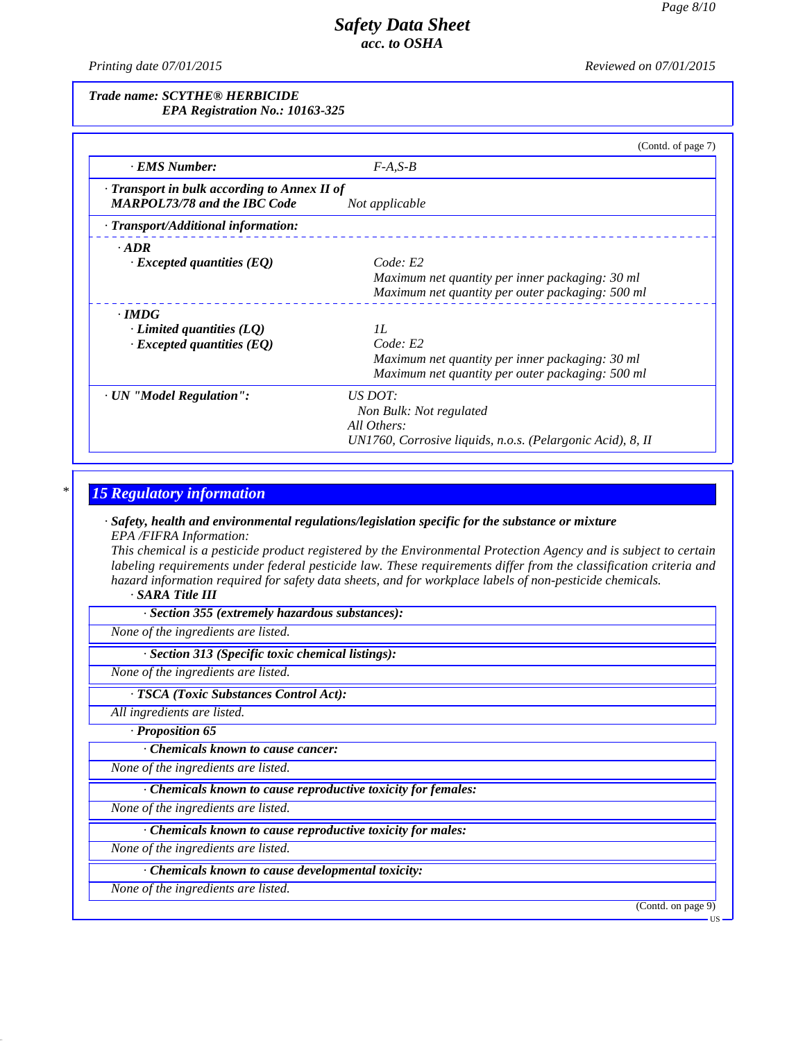*Printing date 07/01/2015 Reviewed on 07/01/2015*

*Trade name: SCYTHE® HERBICIDE EPA Registration No.: 10163-325*

|                                              | (Contd. of page 7)                                         |
|----------------------------------------------|------------------------------------------------------------|
| · EMS Number:                                | $F-A, S-B$                                                 |
| - Transport in bulk according to Annex II of |                                                            |
| <b>MARPOL73/78 and the IBC Code</b>          | Not applicable                                             |
| · Transport/Additional information:          |                                                            |
| $\cdot$ ADR                                  |                                                            |
| $\cdot$ Excepted quantities (EQ)             | Code: E2                                                   |
|                                              | Maximum net quantity per inner packaging: 30 ml            |
|                                              | Maximum net quantity per outer packaging: 500 ml           |
| $\cdot$ IMDG                                 |                                                            |
| $\cdot$ Limited quantities (LQ)              | II.                                                        |
| $\cdot$ Excepted quantities (EQ)             | Code: E2                                                   |
|                                              | Maximum net quantity per inner packaging: 30 ml            |
|                                              | Maximum net quantity per outer packaging: 500 ml           |
| · UN "Model Regulation":                     | US DOT:                                                    |
|                                              | Non Bulk: Not regulated                                    |
|                                              | All Others:                                                |
|                                              | UN1760, Corrosive liquids, n.o.s. (Pelargonic Acid), 8, II |

## *\* 15 Regulatory information*

### *· Safety, health and environmental regulations/legislation specific for the substance or mixture EPA /FIFRA Information:*

This chemical is a pesticide product registered by the Environmental Protection Agency and is subject to certain *labeling requirements under federal pesticide law. These requirements differ from the classification criteria and hazard information required for safety data sheets, and for workplace labels of non-pesticide chemicals.*

### *· SARA Title III*

*· Section 355 (extremely hazardous substances):*

*None of the ingredients are listed.*

*· Section 313 (Specific toxic chemical listings):*

*None of the ingredients are listed.*

*· TSCA (Toxic Substances Control Act):*

*All ingredients are listed.*

*· Proposition 65*

*· Chemicals known to cause cancer:*

*None of the ingredients are listed.*

*· Chemicals known to cause reproductive toxicity for females:*

*None of the ingredients are listed.*

*· Chemicals known to cause reproductive toxicity for males:*

*None of the ingredients are listed.*

*· Chemicals known to cause developmental toxicity:*

*None of the ingredients are listed.*

41.0

(Contd. on page 9)

**HS**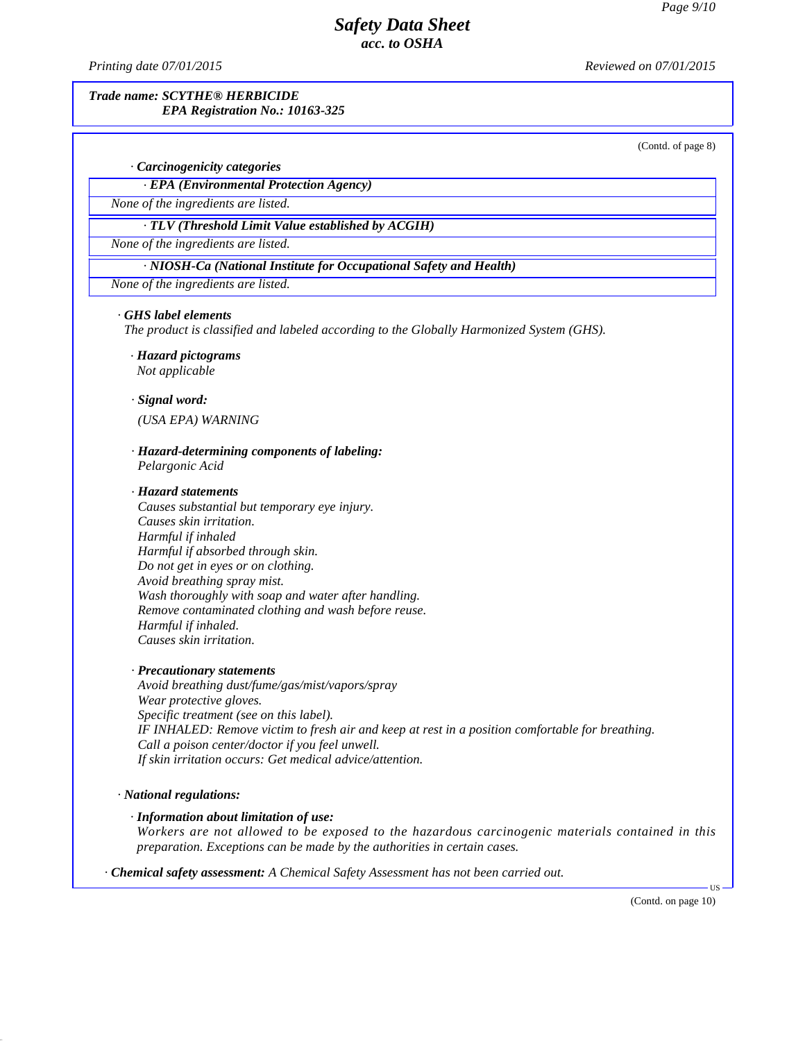*Printing date 07/01/2015 Reviewed on 07/01/2015*

### *Trade name: SCYTHE® HERBICIDE EPA Registration No.: 10163-325*

(Contd. of page 8)

### *· Carcinogenicity categories*

*· EPA (Environmental Protection Agency)*

*None of the ingredients are listed.*

*· TLV (Threshold Limit Value established by ACGIH)*

*None of the ingredients are listed.*

*· NIOSH-Ca (National Institute for Occupational Safety and Health)*

*None of the ingredients are listed.*

#### *· GHS label elements*

*The product is classified and labeled according to the Globally Harmonized System (GHS).*

- *· Hazard pictograms Not applicable*
- *· Signal word:*

*(USA EPA) WARNING*

*· Hazard-determining components of labeling: Pelargonic Acid*

#### *· Hazard statements*

*Causes substantial but temporary eye injury. Causes skin irritation. Harmful if inhaled Harmful if absorbed through skin. Do not get in eyes or on clothing. Avoid breathing spray mist. Wash thoroughly with soap and water after handling. Remove contaminated clothing and wash before reuse. Harmful if inhaled. Causes skin irritation.*

#### *· Precautionary statements*

*Avoid breathing dust/fume/gas/mist/vapors/spray Wear protective gloves. Specific treatment (see on this label). IF INHALED: Remove victim to fresh air and keep at rest in a position comfortable for breathing. Call a poison center/doctor ifyou feel unwell. If skin irritation occurs: Get medical advice/attention.*

#### *· National regulations:*

41.0

#### *· Information about limitation of use:*

*Workers are not allowed to be exposed to the hazardous carcinogenic materials contained in this preparation. Exceptions can be made by the authorities in certain cases.*

*· Chemical safety assessment: A Chemical Safety Assessment has not been carried out.*

(Contd. on page 10)

 $\overline{\mathsf{US}}$   $\overline{\phantom{0}}$